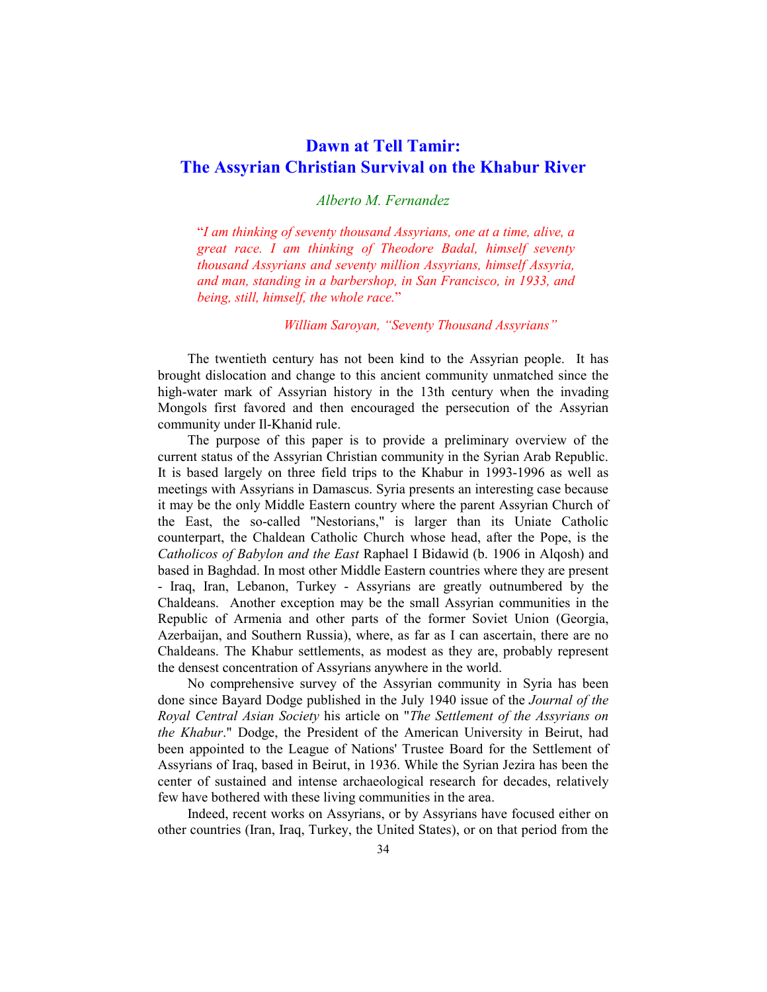# **Dawn at Tell Tamir: The Assyrian Christian Survival on the Khabur River**

## *Alberto M. Fernandez*

"*I am thinking of seventy thousand Assyrians, one at a time, alive, a great race. I am thinking of Theodore Badal, himself seventy thousand Assyrians and seventy million Assyrians, himself Assyria, and man, standing in a barbershop, in San Francisco, in 1933, and being, still, himself, the whole race.*"

 *William Saroyan, "Seventy Thousand Assyrians"* 

The twentieth century has not been kind to the Assyrian people. It has brought dislocation and change to this ancient community unmatched since the high-water mark of Assyrian history in the 13th century when the invading Mongols first favored and then encouraged the persecution of the Assyrian community under Il-Khanid rule.

 The purpose of this paper is to provide a preliminary overview of the current status of the Assyrian Christian community in the Syrian Arab Republic. It is based largely on three field trips to the Khabur in 1993-1996 as well as meetings with Assyrians in Damascus. Syria presents an interesting case because it may be the only Middle Eastern country where the parent Assyrian Church of the East, the so-called "Nestorians," is larger than its Uniate Catholic counterpart, the Chaldean Catholic Church whose head, after the Pope, is the *Catholicos of Babylon and the East* Raphael I Bidawid (b. 1906 in Alqosh) and based in Baghdad. In most other Middle Eastern countries where they are present - Iraq, Iran, Lebanon, Turkey - Assyrians are greatly outnumbered by the Chaldeans. Another exception may be the small Assyrian communities in the Republic of Armenia and other parts of the former Soviet Union (Georgia, Azerbaijan, and Southern Russia), where, as far as I can ascertain, there are no Chaldeans. The Khabur settlements, as modest as they are, probably represent the densest concentration of Assyrians anywhere in the world.

No comprehensive survey of the Assyrian community in Syria has been done since Bayard Dodge published in the July 1940 issue of the *Journal of the Royal Central Asian Society* his article on "*The Settlement of the Assyrians on the Khabur*." Dodge, the President of the American University in Beirut, had been appointed to the League of Nations' Trustee Board for the Settlement of Assyrians of Iraq, based in Beirut, in 1936. While the Syrian Jezira has been the center of sustained and intense archaeological research for decades, relatively few have bothered with these living communities in the area.

Indeed, recent works on Assyrians, or by Assyrians have focused either on other countries (Iran, Iraq, Turkey, the United States), or on that period from the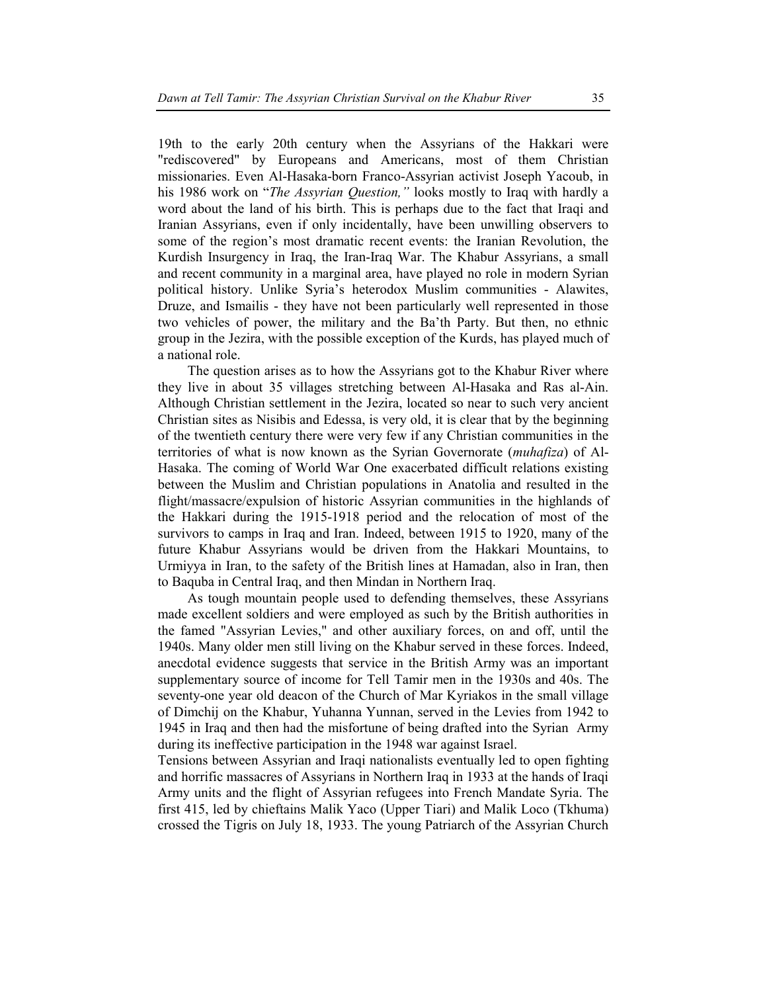19th to the early 20th century when the Assyrians of the Hakkari were "rediscovered" by Europeans and Americans, most of them Christian missionaries. Even Al-Hasaka-born Franco-Assyrian activist Joseph Yacoub, in his 1986 work on "*The Assyrian Question,"* looks mostly to Iraq with hardly a word about the land of his birth. This is perhaps due to the fact that Iraqi and Iranian Assyrians, even if only incidentally, have been unwilling observers to some of the region's most dramatic recent events: the Iranian Revolution, the Kurdish Insurgency in Iraq, the Iran-Iraq War. The Khabur Assyrians, a small and recent community in a marginal area, have played no role in modern Syrian political history. Unlike Syria's heterodox Muslim communities - Alawites, Druze, and Ismailis - they have not been particularly well represented in those two vehicles of power, the military and the Ba'th Party. But then, no ethnic group in the Jezira, with the possible exception of the Kurds, has played much of a national role.

 The question arises as to how the Assyrians got to the Khabur River where they live in about 35 villages stretching between Al-Hasaka and Ras al-Ain. Although Christian settlement in the Jezira, located so near to such very ancient Christian sites as Nisibis and Edessa, is very old, it is clear that by the beginning of the twentieth century there were very few if any Christian communities in the territories of what is now known as the Syrian Governorate (*muhafiza*) of Al-Hasaka. The coming of World War One exacerbated difficult relations existing between the Muslim and Christian populations in Anatolia and resulted in the flight/massacre/expulsion of historic Assyrian communities in the highlands of the Hakkari during the 1915-1918 period and the relocation of most of the survivors to camps in Iraq and Iran. Indeed, between 1915 to 1920, many of the future Khabur Assyrians would be driven from the Hakkari Mountains, to Urmiyya in Iran, to the safety of the British lines at Hamadan, also in Iran, then to Baquba in Central Iraq, and then Mindan in Northern Iraq.

As tough mountain people used to defending themselves, these Assyrians made excellent soldiers and were employed as such by the British authorities in the famed "Assyrian Levies," and other auxiliary forces, on and off, until the 1940s. Many older men still living on the Khabur served in these forces. Indeed, anecdotal evidence suggests that service in the British Army was an important supplementary source of income for Tell Tamir men in the 1930s and 40s. The seventy-one year old deacon of the Church of Mar Kyriakos in the small village of Dimchij on the Khabur, Yuhanna Yunnan, served in the Levies from 1942 to 1945 in Iraq and then had the misfortune of being drafted into the Syrian Army during its ineffective participation in the 1948 war against Israel.

Tensions between Assyrian and Iraqi nationalists eventually led to open fighting and horrific massacres of Assyrians in Northern Iraq in 1933 at the hands of Iraqi Army units and the flight of Assyrian refugees into French Mandate Syria. The first 415, led by chieftains Malik Yaco (Upper Tiari) and Malik Loco (Tkhuma) crossed the Tigris on July 18, 1933. The young Patriarch of the Assyrian Church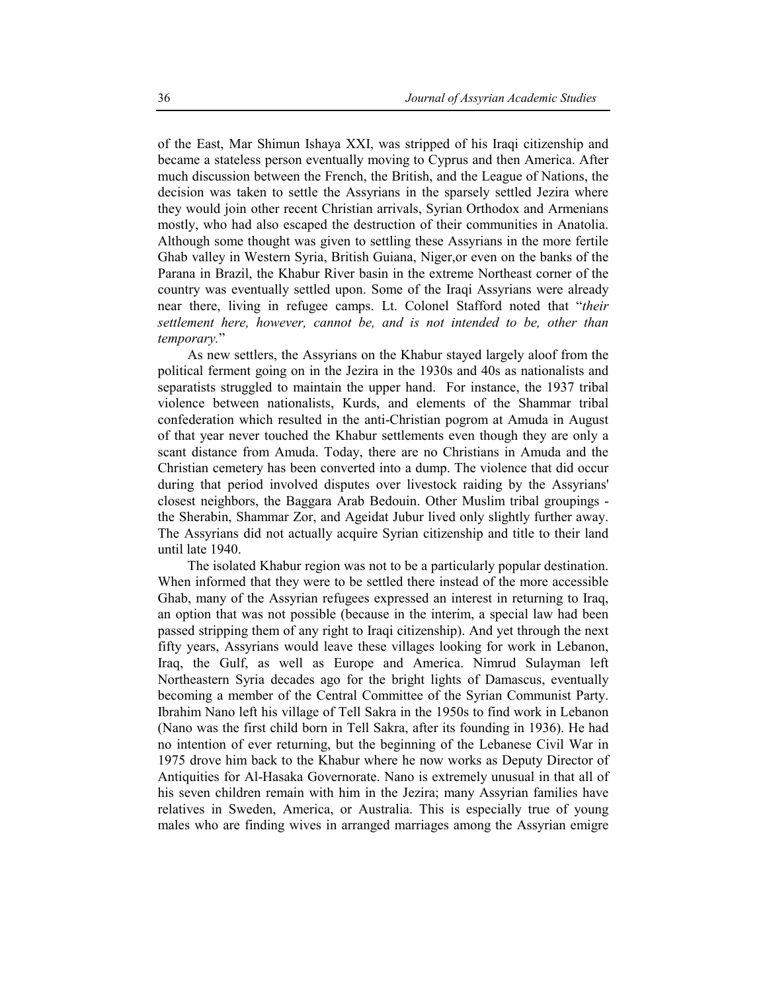of the East, Mar Shimun Ishaya XXI, was stripped of his Iraqi citizenship and became a stateless person eventually moving to Cyprus and then America. After much discussion between the French, the British, and the League of Nations, the decision was taken to settle the Assyrians in the sparsely settled Jezira where they would join other recent Christian arrivals, Syrian Orthodox and Armenians mostly, who had also escaped the destruction of their communities in Anatolia. Although some thought was given to settling these Assyrians in the more fertile Ghab valley in Western Syria, British Guiana, Niger,or even on the banks of the Parana in Brazil, the Khabur River basin in the extreme Northeast corner of the country was eventually settled upon. Some of the Iraqi Assyrians were already near there, living in refugee camps. Lt. Colonel Stafford noted that "*their settlement here, however, cannot be, and is not intended to be, other than temporary.*"

As new settlers, the Assyrians on the Khabur stayed largely aloof from the political ferment going on in the Jezira in the 1930s and 40s as nationalists and separatists struggled to maintain the upper hand. For instance, the 1937 tribal violence between nationalists, Kurds, and elements of the Shammar tribal confederation which resulted in the anti-Christian pogrom at Amuda in August of that year never touched the Khabur settlements even though they are only a scant distance from Amuda. Today, there are no Christians in Amuda and the Christian cemetery has been converted into a dump. The violence that did occur during that period involved disputes over livestock raiding by the Assyrians' closest neighbors, the Baggara Arab Bedouin. Other Muslim tribal groupings the Sherabin, Shammar Zor, and Ageidat Jubur lived only slightly further away. The Assyrians did not actually acquire Syrian citizenship and title to their land until late 1940.

The isolated Khabur region was not to be a particularly popular destination. When informed that they were to be settled there instead of the more accessible Ghab, many of the Assyrian refugees expressed an interest in returning to Iraq, an option that was not possible (because in the interim, a special law had been passed stripping them of any right to Iraqi citizenship). And yet through the next fifty years, Assyrians would leave these villages looking for work in Lebanon, Iraq, the Gulf, as well as Europe and America. Nimrud Sulayman left Northeastern Syria decades ago for the bright lights of Damascus, eventually becoming a member of the Central Committee of the Syrian Communist Party. Ibrahim Nano left his village of Tell Sakra in the 1950s to find work in Lebanon (Nano was the first child born in Tell Sakra, after its founding in 1936). He had no intention of ever returning, but the beginning of the Lebanese Civil War in 1975 drove him back to the Khabur where he now works as Deputy Director of Antiquities for Al-Hasaka Governorate. Nano is extremely unusual in that all of his seven children remain with him in the Jezira; many Assyrian families have relatives in Sweden, America, or Australia. This is especially true of young males who are finding wives in arranged marriages among the Assyrian emigre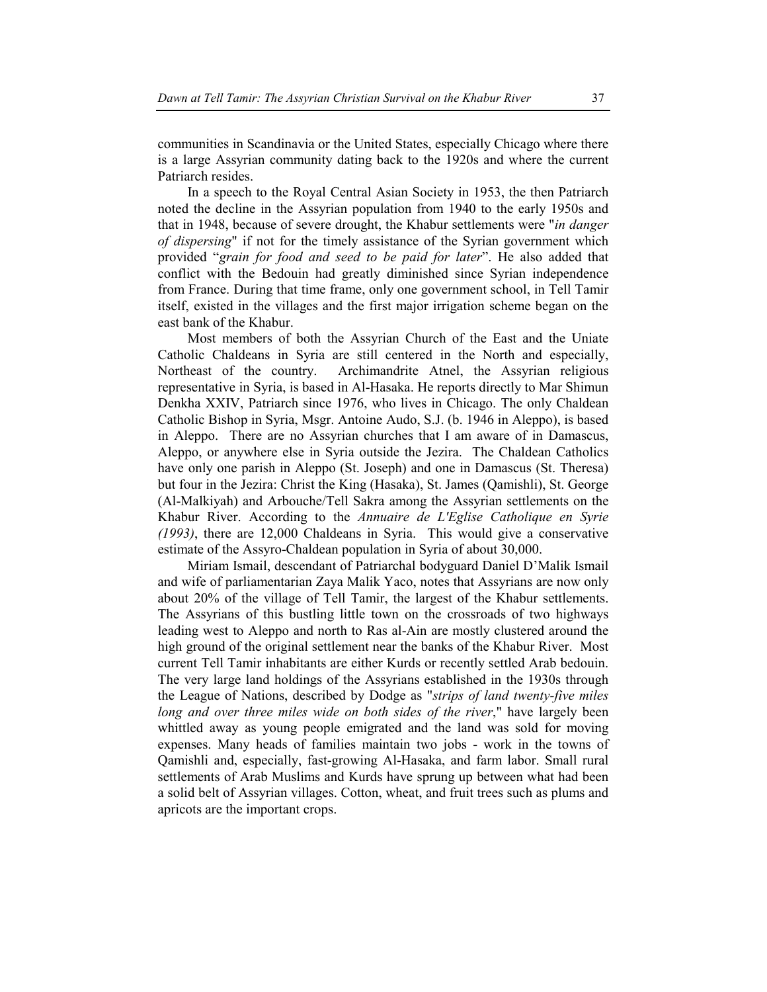communities in Scandinavia or the United States, especially Chicago where there is a large Assyrian community dating back to the 1920s and where the current Patriarch resides.

In a speech to the Royal Central Asian Society in 1953, the then Patriarch noted the decline in the Assyrian population from 1940 to the early 1950s and that in 1948, because of severe drought, the Khabur settlements were "*in danger of dispersing*" if not for the timely assistance of the Syrian government which provided "*grain for food and seed to be paid for later*". He also added that conflict with the Bedouin had greatly diminished since Syrian independence from France. During that time frame, only one government school, in Tell Tamir itself, existed in the villages and the first major irrigation scheme began on the east bank of the Khabur.

Most members of both the Assyrian Church of the East and the Uniate Catholic Chaldeans in Syria are still centered in the North and especially, Northeast of the country. Archimandrite Atnel, the Assyrian religious representative in Syria, is based in Al-Hasaka. He reports directly to Mar Shimun Denkha XXIV, Patriarch since 1976, who lives in Chicago. The only Chaldean Catholic Bishop in Syria, Msgr. Antoine Audo, S.J. (b. 1946 in Aleppo), is based in Aleppo. There are no Assyrian churches that I am aware of in Damascus, Aleppo, or anywhere else in Syria outside the Jezira. The Chaldean Catholics have only one parish in Aleppo (St. Joseph) and one in Damascus (St. Theresa) but four in the Jezira: Christ the King (Hasaka), St. James (Qamishli), St. George (Al-Malkiyah) and Arbouche/Tell Sakra among the Assyrian settlements on the Khabur River. According to the *Annuaire de L'Eglise Catholique en Syrie (1993)*, there are 12,000 Chaldeans in Syria. This would give a conservative estimate of the Assyro-Chaldean population in Syria of about 30,000.

Miriam Ismail, descendant of Patriarchal bodyguard Daniel D'Malik Ismail and wife of parliamentarian Zaya Malik Yaco, notes that Assyrians are now only about 20% of the village of Tell Tamir, the largest of the Khabur settlements. The Assyrians of this bustling little town on the crossroads of two highways leading west to Aleppo and north to Ras al-Ain are mostly clustered around the high ground of the original settlement near the banks of the Khabur River. Most current Tell Tamir inhabitants are either Kurds or recently settled Arab bedouin. The very large land holdings of the Assyrians established in the 1930s through the League of Nations, described by Dodge as "*strips of land twenty-five miles long and over three miles wide on both sides of the river*," have largely been whittled away as young people emigrated and the land was sold for moving expenses. Many heads of families maintain two jobs - work in the towns of Qamishli and, especially, fast-growing Al-Hasaka, and farm labor. Small rural settlements of Arab Muslims and Kurds have sprung up between what had been a solid belt of Assyrian villages. Cotton, wheat, and fruit trees such as plums and apricots are the important crops.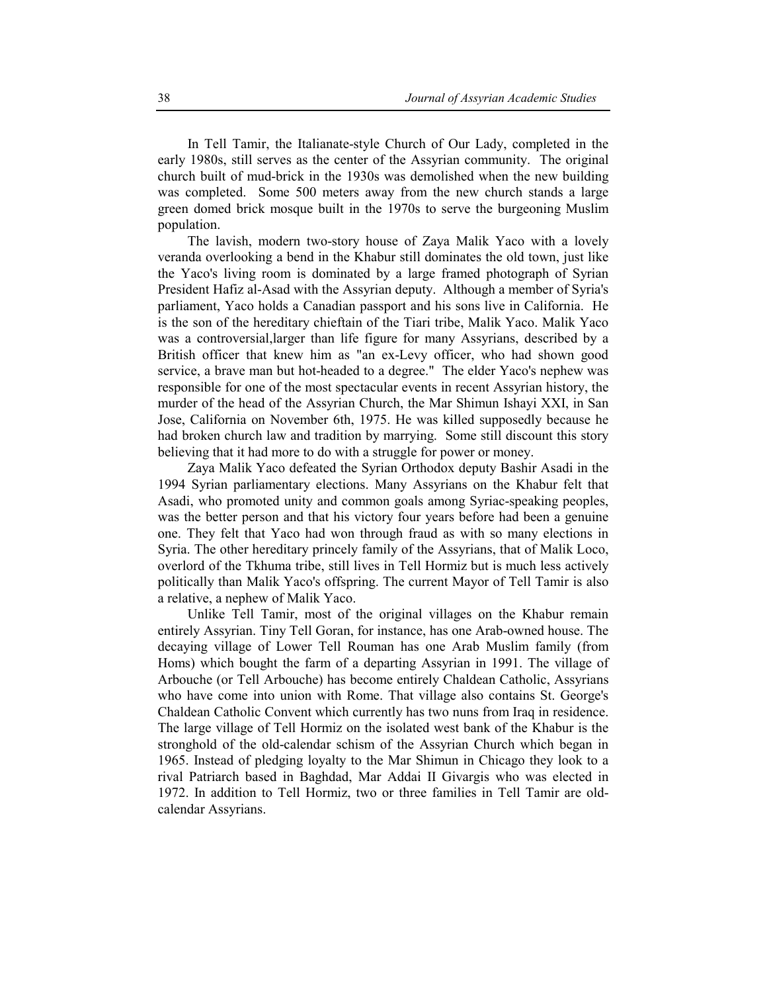In Tell Tamir, the Italianate-style Church of Our Lady, completed in the early 1980s, still serves as the center of the Assyrian community. The original church built of mud-brick in the 1930s was demolished when the new building was completed. Some 500 meters away from the new church stands a large green domed brick mosque built in the 1970s to serve the burgeoning Muslim population.

The lavish, modern two-story house of Zaya Malik Yaco with a lovely veranda overlooking a bend in the Khabur still dominates the old town, just like the Yaco's living room is dominated by a large framed photograph of Syrian President Hafiz al-Asad with the Assyrian deputy. Although a member of Syria's parliament, Yaco holds a Canadian passport and his sons live in California. He is the son of the hereditary chieftain of the Tiari tribe, Malik Yaco. Malik Yaco was a controversial,larger than life figure for many Assyrians, described by a British officer that knew him as "an ex-Levy officer, who had shown good service, a brave man but hot-headed to a degree." The elder Yaco's nephew was responsible for one of the most spectacular events in recent Assyrian history, the murder of the head of the Assyrian Church, the Mar Shimun Ishayi XXI, in San Jose, California on November 6th, 1975. He was killed supposedly because he had broken church law and tradition by marrying. Some still discount this story believing that it had more to do with a struggle for power or money.

Zaya Malik Yaco defeated the Syrian Orthodox deputy Bashir Asadi in the 1994 Syrian parliamentary elections. Many Assyrians on the Khabur felt that Asadi, who promoted unity and common goals among Syriac-speaking peoples, was the better person and that his victory four years before had been a genuine one. They felt that Yaco had won through fraud as with so many elections in Syria. The other hereditary princely family of the Assyrians, that of Malik Loco, overlord of the Tkhuma tribe, still lives in Tell Hormiz but is much less actively politically than Malik Yaco's offspring. The current Mayor of Tell Tamir is also a relative, a nephew of Malik Yaco.

 Unlike Tell Tamir, most of the original villages on the Khabur remain entirely Assyrian. Tiny Tell Goran, for instance, has one Arab-owned house. The decaying village of Lower Tell Rouman has one Arab Muslim family (from Homs) which bought the farm of a departing Assyrian in 1991. The village of Arbouche (or Tell Arbouche) has become entirely Chaldean Catholic, Assyrians who have come into union with Rome. That village also contains St. George's Chaldean Catholic Convent which currently has two nuns from Iraq in residence. The large village of Tell Hormiz on the isolated west bank of the Khabur is the stronghold of the old-calendar schism of the Assyrian Church which began in 1965. Instead of pledging loyalty to the Mar Shimun in Chicago they look to a rival Patriarch based in Baghdad, Mar Addai II Givargis who was elected in 1972. In addition to Tell Hormiz, two or three families in Tell Tamir are oldcalendar Assyrians.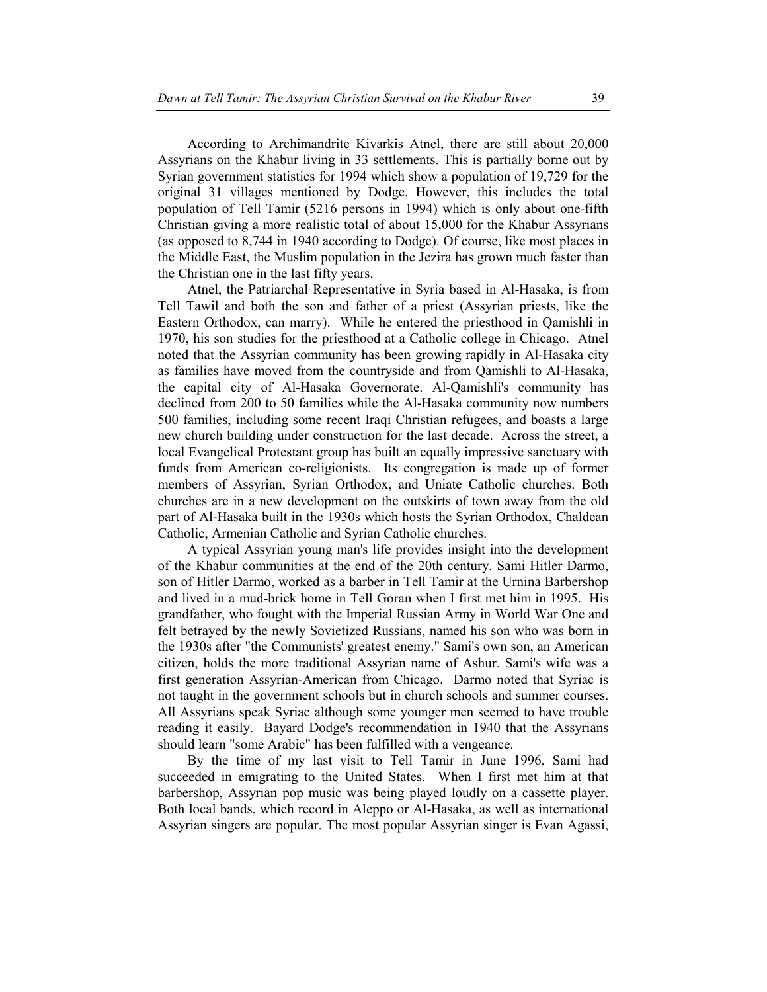According to Archimandrite Kivarkis Atnel, there are still about 20,000 Assyrians on the Khabur living in 33 settlements. This is partially borne out by Syrian government statistics for 1994 which show a population of 19,729 for the original 31 villages mentioned by Dodge. However, this includes the total population of Tell Tamir (5216 persons in 1994) which is only about one-fifth Christian giving a more realistic total of about 15,000 for the Khabur Assyrians (as opposed to 8,744 in 1940 according to Dodge). Of course, like most places in the Middle East, the Muslim population in the Jezira has grown much faster than the Christian one in the last fifty years.

Atnel, the Patriarchal Representative in Syria based in Al-Hasaka, is from Tell Tawil and both the son and father of a priest (Assyrian priests, like the Eastern Orthodox, can marry). While he entered the priesthood in Qamishli in 1970, his son studies for the priesthood at a Catholic college in Chicago. Atnel noted that the Assyrian community has been growing rapidly in Al-Hasaka city as families have moved from the countryside and from Qamishli to Al-Hasaka, the capital city of Al-Hasaka Governorate. Al-Qamishli's community has declined from 200 to 50 families while the Al-Hasaka community now numbers 500 families, including some recent Iraqi Christian refugees, and boasts a large new church building under construction for the last decade. Across the street, a local Evangelical Protestant group has built an equally impressive sanctuary with funds from American co-religionists. Its congregation is made up of former members of Assyrian, Syrian Orthodox, and Uniate Catholic churches. Both churches are in a new development on the outskirts of town away from the old part of Al-Hasaka built in the 1930s which hosts the Syrian Orthodox, Chaldean Catholic, Armenian Catholic and Syrian Catholic churches.

A typical Assyrian young man's life provides insight into the development of the Khabur communities at the end of the 20th century. Sami Hitler Darmo, son of Hitler Darmo, worked as a barber in Tell Tamir at the Urnina Barbershop and lived in a mud-brick home in Tell Goran when I first met him in 1995. His grandfather, who fought with the Imperial Russian Army in World War One and felt betrayed by the newly Sovietized Russians, named his son who was born in the 1930s after "the Communists' greatest enemy." Sami's own son, an American citizen, holds the more traditional Assyrian name of Ashur. Sami's wife was a first generation Assyrian-American from Chicago. Darmo noted that Syriac is not taught in the government schools but in church schools and summer courses. All Assyrians speak Syriac although some younger men seemed to have trouble reading it easily. Bayard Dodge's recommendation in 1940 that the Assyrians should learn "some Arabic" has been fulfilled with a vengeance.

By the time of my last visit to Tell Tamir in June 1996, Sami had succeeded in emigrating to the United States. When I first met him at that barbershop, Assyrian pop music was being played loudly on a cassette player. Both local bands, which record in Aleppo or Al-Hasaka, as well as international Assyrian singers are popular. The most popular Assyrian singer is Evan Agassi,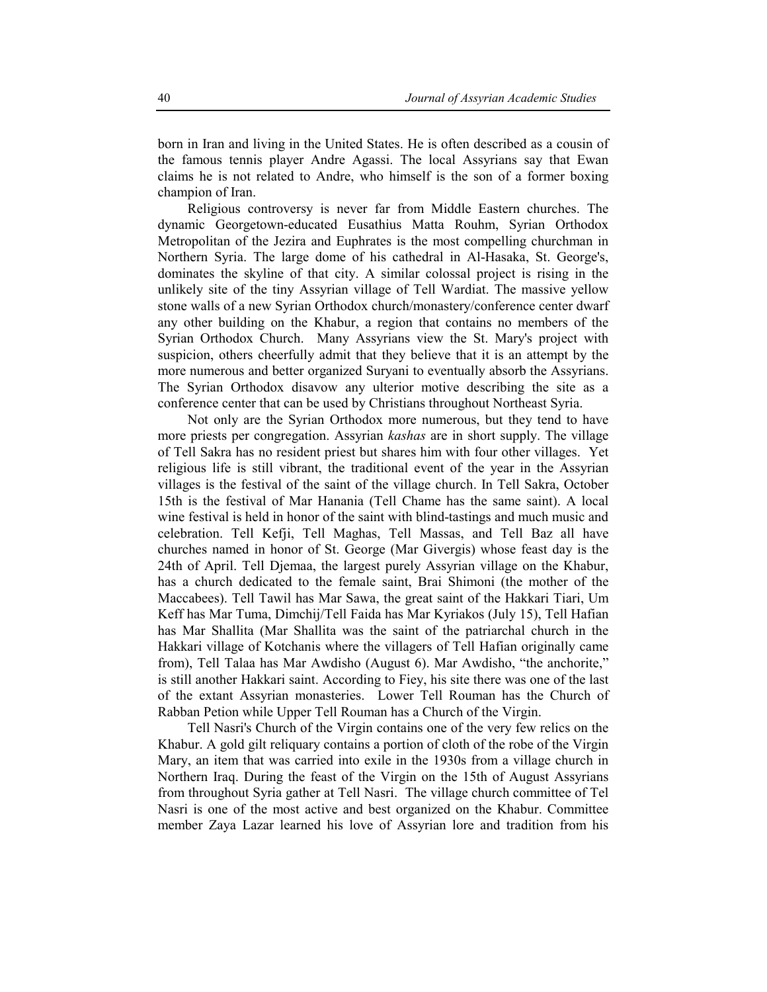born in Iran and living in the United States. He is often described as a cousin of the famous tennis player Andre Agassi. The local Assyrians say that Ewan claims he is not related to Andre, who himself is the son of a former boxing champion of Iran.

Religious controversy is never far from Middle Eastern churches. The dynamic Georgetown-educated Eusathius Matta Rouhm, Syrian Orthodox Metropolitan of the Jezira and Euphrates is the most compelling churchman in Northern Syria. The large dome of his cathedral in Al-Hasaka, St. George's, dominates the skyline of that city. A similar colossal project is rising in the unlikely site of the tiny Assyrian village of Tell Wardiat. The massive yellow stone walls of a new Syrian Orthodox church/monastery/conference center dwarf any other building on the Khabur, a region that contains no members of the Syrian Orthodox Church. Many Assyrians view the St. Mary's project with suspicion, others cheerfully admit that they believe that it is an attempt by the more numerous and better organized Suryani to eventually absorb the Assyrians. The Syrian Orthodox disavow any ulterior motive describing the site as a conference center that can be used by Christians throughout Northeast Syria.

Not only are the Syrian Orthodox more numerous, but they tend to have more priests per congregation. Assyrian *kashas* are in short supply. The village of Tell Sakra has no resident priest but shares him with four other villages. Yet religious life is still vibrant, the traditional event of the year in the Assyrian villages is the festival of the saint of the village church. In Tell Sakra, October 15th is the festival of Mar Hanania (Tell Chame has the same saint). A local wine festival is held in honor of the saint with blind-tastings and much music and celebration. Tell Kefji, Tell Maghas, Tell Massas, and Tell Baz all have churches named in honor of St. George (Mar Givergis) whose feast day is the 24th of April. Tell Djemaa, the largest purely Assyrian village on the Khabur, has a church dedicated to the female saint, Brai Shimoni (the mother of the Maccabees). Tell Tawil has Mar Sawa, the great saint of the Hakkari Tiari, Um Keff has Mar Tuma, Dimchij/Tell Faida has Mar Kyriakos (July 15), Tell Hafian has Mar Shallita (Mar Shallita was the saint of the patriarchal church in the Hakkari village of Kotchanis where the villagers of Tell Hafian originally came from), Tell Talaa has Mar Awdisho (August 6). Mar Awdisho, "the anchorite," is still another Hakkari saint. According to Fiey, his site there was one of the last of the extant Assyrian monasteries. Lower Tell Rouman has the Church of Rabban Petion while Upper Tell Rouman has a Church of the Virgin.

Tell Nasri's Church of the Virgin contains one of the very few relics on the Khabur. A gold gilt reliquary contains a portion of cloth of the robe of the Virgin Mary, an item that was carried into exile in the 1930s from a village church in Northern Iraq. During the feast of the Virgin on the 15th of August Assyrians from throughout Syria gather at Tell Nasri. The village church committee of Tel Nasri is one of the most active and best organized on the Khabur. Committee member Zaya Lazar learned his love of Assyrian lore and tradition from his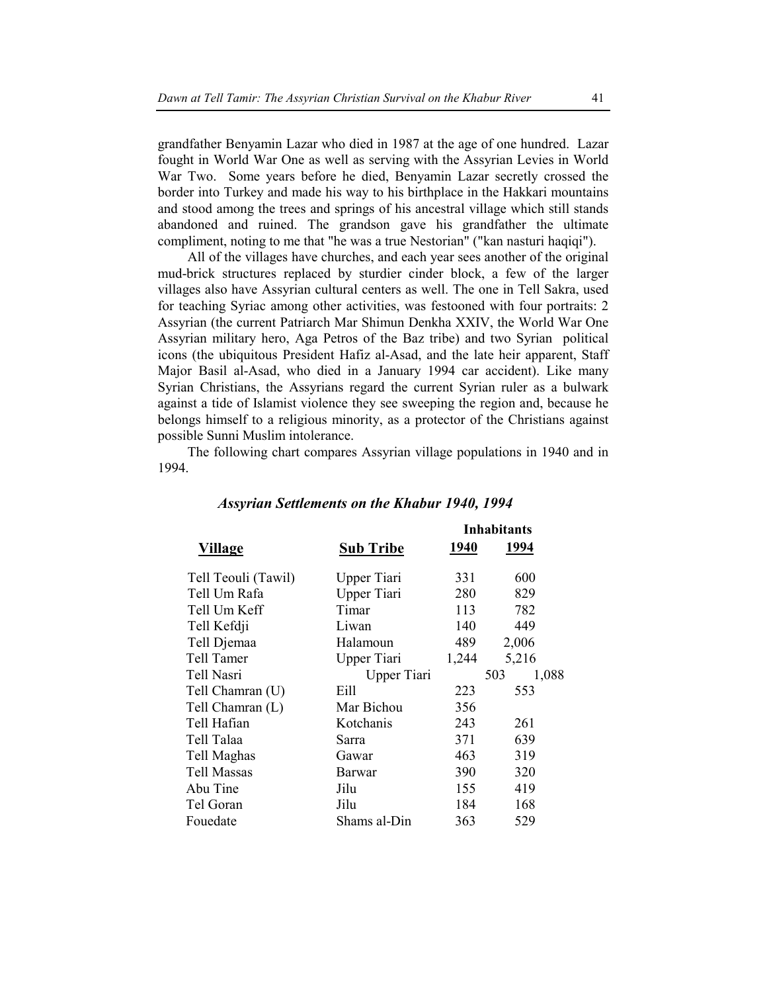grandfather Benyamin Lazar who died in 1987 at the age of one hundred. Lazar fought in World War One as well as serving with the Assyrian Levies in World War Two. Some years before he died, Benyamin Lazar secretly crossed the border into Turkey and made his way to his birthplace in the Hakkari mountains and stood among the trees and springs of his ancestral village which still stands abandoned and ruined. The grandson gave his grandfather the ultimate compliment, noting to me that "he was a true Nestorian" ("kan nasturi haqiqi").

All of the villages have churches, and each year sees another of the original mud-brick structures replaced by sturdier cinder block, a few of the larger villages also have Assyrian cultural centers as well. The one in Tell Sakra, used for teaching Syriac among other activities, was festooned with four portraits: 2 Assyrian (the current Patriarch Mar Shimun Denkha XXIV, the World War One Assyrian military hero, Aga Petros of the Baz tribe) and two Syrian political icons (the ubiquitous President Hafiz al-Asad, and the late heir apparent, Staff Major Basil al-Asad, who died in a January 1994 car accident). Like many Syrian Christians, the Assyrians regard the current Syrian ruler as a bulwark against a tide of Islamist violence they see sweeping the region and, because he belongs himself to a religious minority, as a protector of the Christians against possible Sunni Muslim intolerance.

The following chart compares Assyrian village populations in 1940 and in 1994.

|                     |                  |       | <b>Inhabitants</b> |
|---------------------|------------------|-------|--------------------|
| Village             | <b>Sub Tribe</b> | 1940  | 1994               |
| Tell Teouli (Tawil) | Upper Tiari      | 331   | 600                |
| Tell Um Rafa        | Upper Tiari      | 280   | 829                |
| Tell Um Keff        | Timar            | 113   | 782                |
| Tell Kefdji         | Liwan            | 140   | 449                |
| Tell Djemaa         | Halamoun         | 489   | 2,006              |
| Tell Tamer          | Upper Tiari      | 1,244 | 5,216              |
| Tell Nasri          | Upper Tiari      |       | 1,088<br>503       |
| Tell Chamran (U)    | Eill             | 223   | 553                |
| Tell Chamran (L)    | Mar Bichou       | 356   |                    |
| Tell Hafian         | Kotchanis        | 243   | 261                |
| Tell Talaa          | Sarra            | 371   | 639                |
| Tell Maghas         | Gawar            | 463   | 319                |
| <b>Tell Massas</b>  | Barwar           | 390   | 320                |
| Abu Tine            | Jilu             | 155   | 419                |
| Tel Goran           | Jilu             | 184   | 168                |
| Fouedate            | Shams al-Din     | 363   | 529                |

#### *Assyrian Settlements on the Khabur 1940, 1994*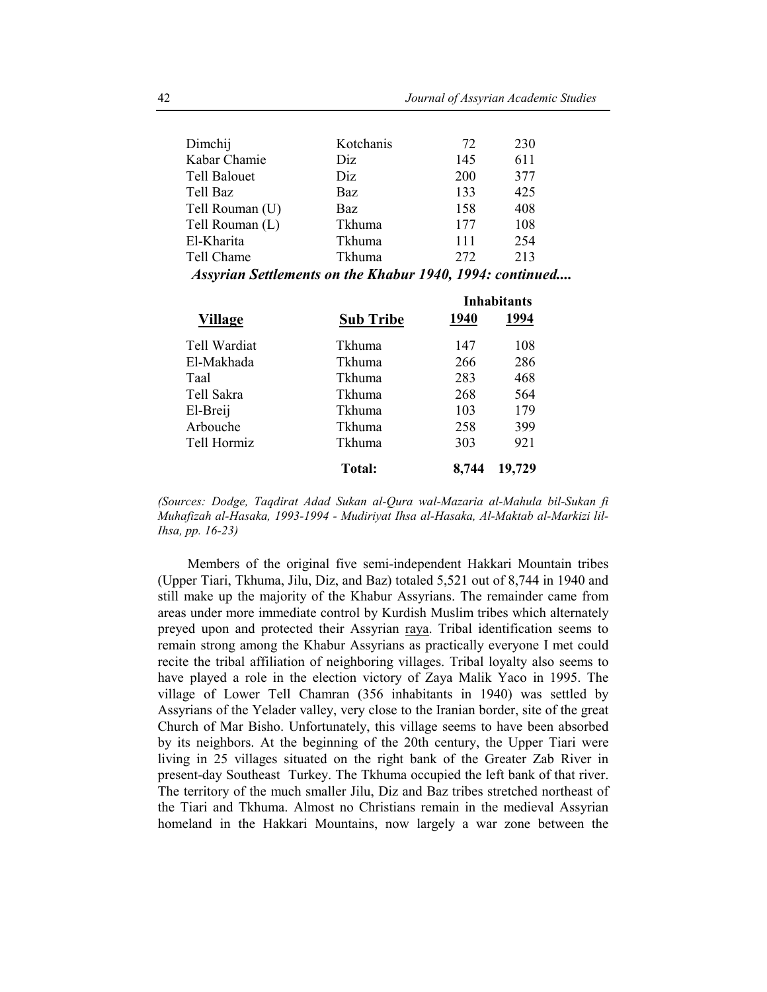| Dimchij             | Kotchanis  | 72  | 230 |
|---------------------|------------|-----|-----|
| Kabar Chamie        | Diz.       | 145 | 611 |
| <b>Tell Balouet</b> | Diz        | 200 | 377 |
| Tell Baz            | <b>Baz</b> | 133 | 425 |
| Tell Rouman (U)     | <b>Baz</b> | 158 | 408 |
| Tell Rouman (L)     | Tkhuma     | 177 | 108 |
| El-Kharita          | Tkhuma     | 111 | 254 |
| Tell Chame          | Tkhuma     | 272 | 213 |

*Assyrian Settlements on the Khabur 1940, 1994: continued....* 

|                |                  | <b>Inhabitants</b> |        |  |
|----------------|------------------|--------------------|--------|--|
| <b>Village</b> | <b>Sub Tribe</b> | 1940               | 1994   |  |
| Tell Wardiat   | Tkhuma           | 147                | 108    |  |
| El-Makhada     | Tkhuma           | 266                | 286    |  |
| Taal           | Tkhuma           | 283                | 468    |  |
| Tell Sakra     | Tkhuma           | 268                | 564    |  |
| El-Breij       | Tkhuma           | 103                | 179    |  |
| Arbouche       | Tkhuma           | 258                | 399    |  |
| Tell Hormiz    | Tkhuma           | 303                | 921    |  |
|                | Total:           | 8.744              | 19,729 |  |

*(Sources: Dodge, Taqdirat Adad Sukan al-Qura wal-Mazaria al-Mahula bil-Sukan fi Muhafizah al-Hasaka, 1993-1994 - Mudiriyat Ihsa al-Hasaka, Al-Maktab al-Markizi lil-Ihsa, pp. 16-23)* 

Members of the original five semi-independent Hakkari Mountain tribes (Upper Tiari, Tkhuma, Jilu, Diz, and Baz) totaled 5,521 out of 8,744 in 1940 and still make up the majority of the Khabur Assyrians. The remainder came from areas under more immediate control by Kurdish Muslim tribes which alternately preyed upon and protected their Assyrian raya. Tribal identification seems to remain strong among the Khabur Assyrians as practically everyone I met could recite the tribal affiliation of neighboring villages. Tribal loyalty also seems to have played a role in the election victory of Zaya Malik Yaco in 1995. The village of Lower Tell Chamran (356 inhabitants in 1940) was settled by Assyrians of the Yelader valley, very close to the Iranian border, site of the great Church of Mar Bisho. Unfortunately, this village seems to have been absorbed by its neighbors. At the beginning of the 20th century, the Upper Tiari were living in 25 villages situated on the right bank of the Greater Zab River in present-day Southeast Turkey. The Tkhuma occupied the left bank of that river. The territory of the much smaller Jilu, Diz and Baz tribes stretched northeast of the Tiari and Tkhuma. Almost no Christians remain in the medieval Assyrian homeland in the Hakkari Mountains, now largely a war zone between the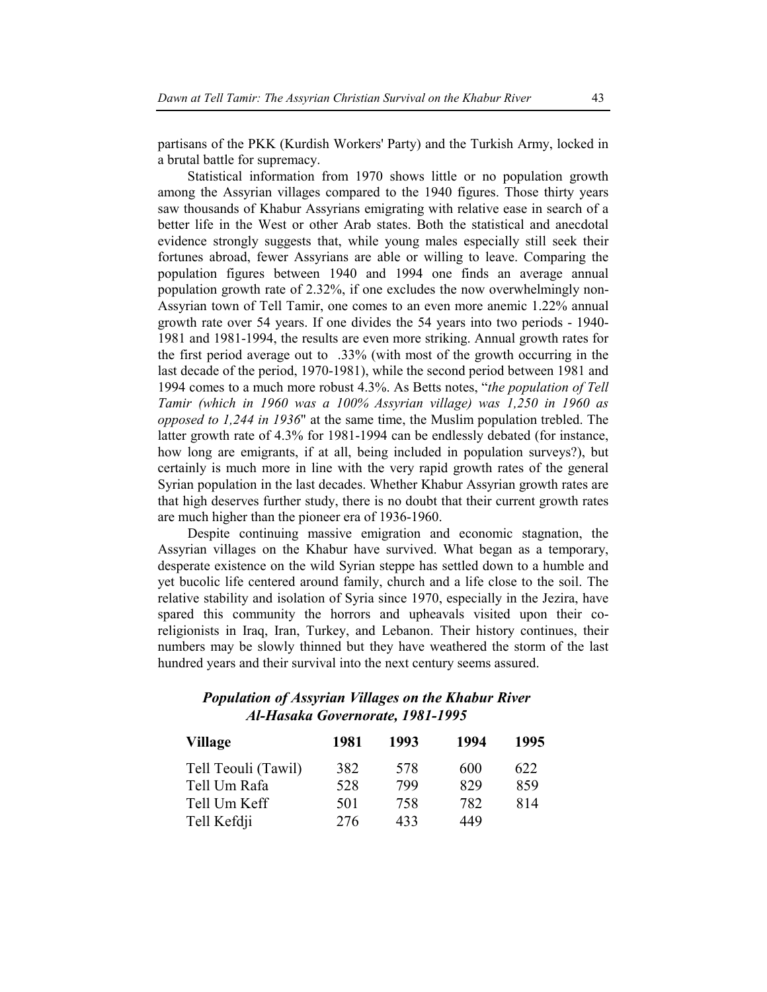partisans of the PKK (Kurdish Workers' Party) and the Turkish Army, locked in a brutal battle for supremacy.

Statistical information from 1970 shows little or no population growth among the Assyrian villages compared to the 1940 figures. Those thirty years saw thousands of Khabur Assyrians emigrating with relative ease in search of a better life in the West or other Arab states. Both the statistical and anecdotal evidence strongly suggests that, while young males especially still seek their fortunes abroad, fewer Assyrians are able or willing to leave. Comparing the population figures between 1940 and 1994 one finds an average annual population growth rate of 2.32%, if one excludes the now overwhelmingly non-Assyrian town of Tell Tamir, one comes to an even more anemic 1.22% annual growth rate over 54 years. If one divides the 54 years into two periods - 1940- 1981 and 1981-1994, the results are even more striking. Annual growth rates for the first period average out to .33% (with most of the growth occurring in the last decade of the period, 1970-1981), while the second period between 1981 and 1994 comes to a much more robust 4.3%. As Betts notes, "*the population of Tell Tamir (which in 1960 was a 100% Assyrian village) was 1,250 in 1960 as opposed to 1,244 in 1936*" at the same time, the Muslim population trebled. The latter growth rate of 4.3% for 1981-1994 can be endlessly debated (for instance, how long are emigrants, if at all, being included in population surveys?), but certainly is much more in line with the very rapid growth rates of the general Syrian population in the last decades. Whether Khabur Assyrian growth rates are that high deserves further study, there is no doubt that their current growth rates are much higher than the pioneer era of 1936-1960.

Despite continuing massive emigration and economic stagnation, the Assyrian villages on the Khabur have survived. What began as a temporary, desperate existence on the wild Syrian steppe has settled down to a humble and yet bucolic life centered around family, church and a life close to the soil. The relative stability and isolation of Syria since 1970, especially in the Jezira, have spared this community the horrors and upheavals visited upon their coreligionists in Iraq, Iran, Turkey, and Lebanon. Their history continues, their numbers may be slowly thinned but they have weathered the storm of the last hundred years and their survival into the next century seems assured.

# *Population of Assyrian Villages on the Khabur River Al-Hasaka Governorate, 1981-1995*

| <b>Village</b>      | 1981 | 1993 | 1994 | 1995 |
|---------------------|------|------|------|------|
| Tell Teouli (Tawil) | 382  | 578  | 600  | 622  |
| Tell Um Rafa        | 528  | 799  | 829  | 859  |
| Tell Um Keff        | 501  | 758  | 782  | 814  |
| Tell Kefdji         | 276  | 433  | 449  |      |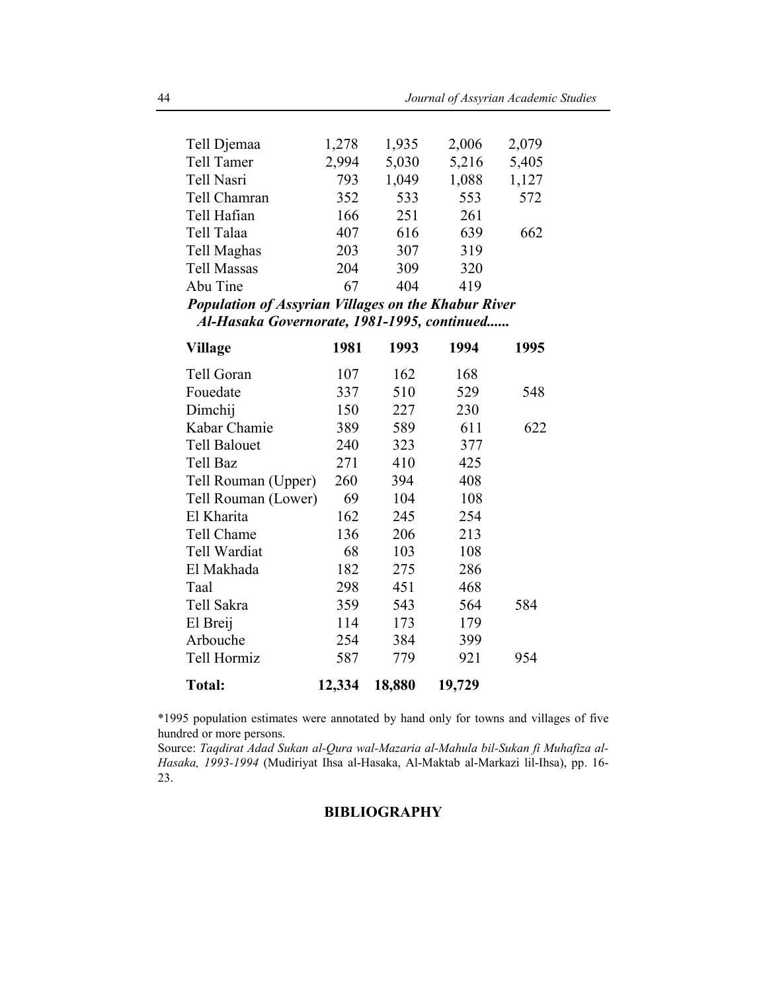| Tell Djemaa<br>Tell Tamer  | 1,278<br>2,994 | 1,935<br>5,030 | 2,006<br>5,216 | 2,079<br>5,405 |
|----------------------------|----------------|----------------|----------------|----------------|
| Tell Nasri<br>Tell Chamran | 793<br>352     | 1,049<br>533   | 1,088<br>553   | 1,127<br>572   |
| Tell Hafian                | 166            | 251            | 261            |                |
| Tell Talaa                 | 407            | 616            | 639            | 662            |
| Tell Maghas                | 203            | 307            | 319            |                |
| <b>Tell Massas</b>         | 204            | 309            | 320            |                |
| Abu Tine                   | 67             | 404            | 419            |                |

*Population of Assyrian Villages on the Khabur River Al-Hasaka Governorate, 1981-1995, continued......* 

| <b>Village</b>      | 1981   | 1993   | 1994   | 1995 |
|---------------------|--------|--------|--------|------|
| Tell Goran          | 107    | 162    | 168    |      |
| Fouedate            | 337    | 510    | 529    | 548  |
| Dimchij             | 150    | 227    | 230    |      |
| Kabar Chamie        | 389    | 589    | 611    | 622  |
| <b>Tell Balouet</b> | 240    | 323    | 377    |      |
| Tell Baz            | 271    | 410    | 425    |      |
| Tell Rouman (Upper) | 260    | 394    | 408    |      |
| Tell Rouman (Lower) | 69     | 104    | 108    |      |
| El Kharita          | 162    | 245    | 254    |      |
| Tell Chame          | 136    | 206    | 213    |      |
| Tell Wardiat        | 68     | 103    | 108    |      |
| El Makhada          | 182    | 275    | 286    |      |
| Taal                | 298    | 451    | 468    |      |
| Tell Sakra          | 359    | 543    | 564    | 584  |
| El Breij            | 114    | 173    | 179    |      |
| Arbouche            | 254    | 384    | 399    |      |
| Tell Hormiz         | 587    | 779    | 921    | 954  |
| <b>Total:</b>       | 12,334 | 18,880 | 19,729 |      |

\*1995 population estimates were annotated by hand only for towns and villages of five hundred or more persons.

Source: *Taqdirat Adad Sukan al-Qura wal-Mazaria al-Mahula bil-Sukan fi Muhafiza al-Hasaka, 1993-1994* (Mudiriyat Ihsa al-Hasaka, Al-Maktab al-Markazi lil-Ihsa), pp. 16- 23.

### **BIBLIOGRAPHY**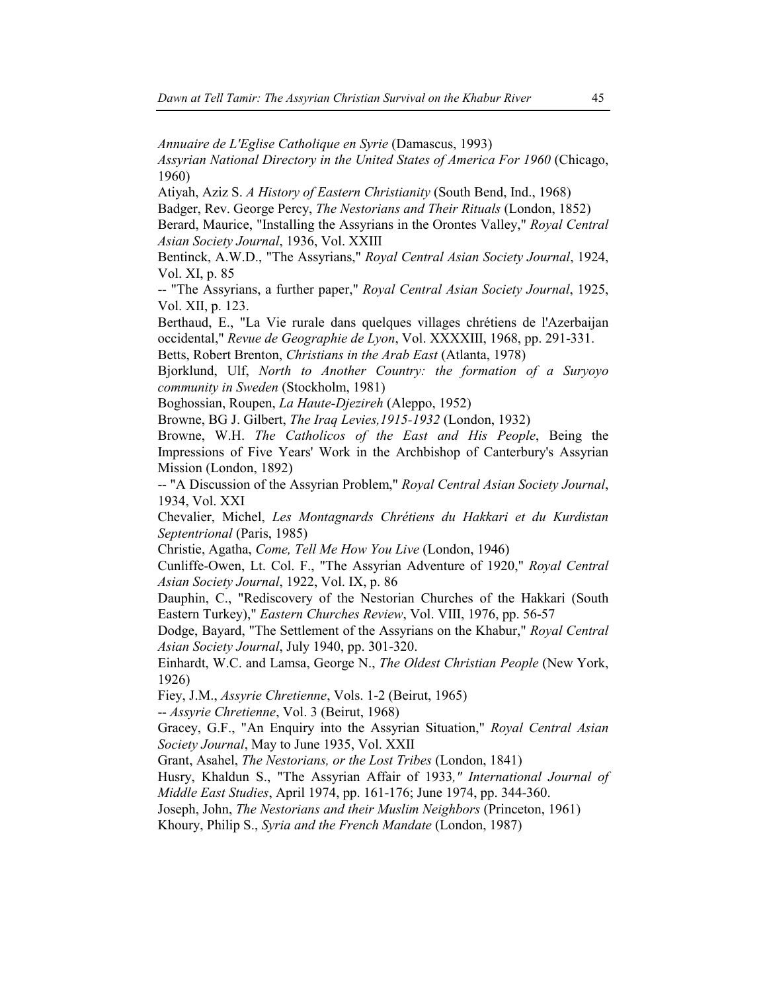*Annuaire de L'Eglise Catholique en Syrie* (Damascus, 1993)

*Assyrian National Directory in the United States of America For 1960* (Chicago, 1960)

Atiyah, Aziz S. *A History of Eastern Christianity* (South Bend, Ind., 1968)

Badger, Rev. George Percy, *The Nestorians and Their Rituals* (London, 1852)

Berard, Maurice, "Installing the Assyrians in the Orontes Valley," *Royal Central Asian Society Journal*, 1936, Vol. XXIII

Bentinck, A.W.D., "The Assyrians," *Royal Central Asian Society Journal*, 1924, Vol. XI, p. 85

-- "The Assyrians, a further paper," *Royal Central Asian Society Journal*, 1925, Vol. XII, p. 123.

Berthaud, E., "La Vie rurale dans quelques villages chrétiens de l'Azerbaijan occidental," *Revue de Geographie de Lyon*, Vol. XXXXIII, 1968, pp. 291-331.

Betts, Robert Brenton, *Christians in the Arab East* (Atlanta, 1978)

Bjorklund, Ulf, *North to Another Country: the formation of a Suryoyo community in Sweden* (Stockholm, 1981)

Boghossian, Roupen, *La Haute-Djezireh* (Aleppo, 1952)

Browne, BG J. Gilbert, *The Iraq Levies,1915-1932* (London, 1932)

Browne, W.H. *The Catholicos of the East and His People*, Being the Impressions of Five Years' Work in the Archbishop of Canterbury's Assyrian Mission (London, 1892)

-- "A Discussion of the Assyrian Problem," *Royal Central Asian Society Journal*, 1934, Vol. XXI

Chevalier, Michel, *Les Montagnards Chrétiens du Hakkari et du Kurdistan Septentrional* (Paris, 1985)

Christie, Agatha, *Come, Tell Me How You Live* (London, 1946)

Cunliffe-Owen, Lt. Col. F., "The Assyrian Adventure of 1920," *Royal Central Asian Society Journal*, 1922, Vol. IX, p. 86

Dauphin, C., "Rediscovery of the Nestorian Churches of the Hakkari (South Eastern Turkey)," *Eastern Churches Review*, Vol. VIII, 1976, pp. 56-57

Dodge, Bayard, "The Settlement of the Assyrians on the Khabur," *Royal Central Asian Society Journal*, July 1940, pp. 301-320.

Einhardt, W.C. and Lamsa, George N., *The Oldest Christian People* (New York, 1926)

Fiey, J.M., *Assyrie Chretienne*, Vols. 1-2 (Beirut, 1965)

-- *Assyrie Chretienne*, Vol. 3 (Beirut, 1968)

Gracey, G.F., "An Enquiry into the Assyrian Situation," *Royal Central Asian Society Journal*, May to June 1935, Vol. XXII

Grant, Asahel, *The Nestorians, or the Lost Tribes* (London, 1841)

Husry, Khaldun S., "The Assyrian Affair of 1933*," International Journal of Middle East Studies*, April 1974, pp. 161-176; June 1974, pp. 344-360.

Joseph, John, *The Nestorians and their Muslim Neighbors* (Princeton, 1961)

Khoury, Philip S., *Syria and the French Mandate* (London, 1987)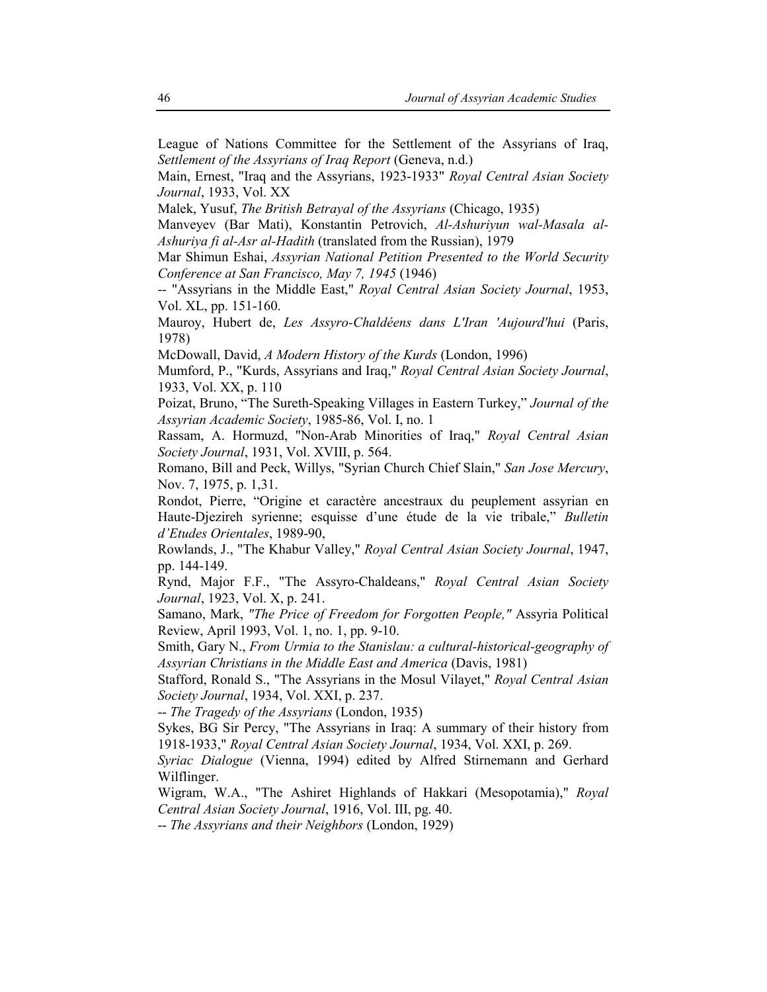League of Nations Committee for the Settlement of the Assyrians of Iraq, *Settlement of the Assyrians of Iraq Report* (Geneva, n.d.)

Main, Ernest, "Iraq and the Assyrians, 1923-1933" *Royal Central Asian Society Journal*, 1933, Vol. XX

Malek, Yusuf, *The British Betrayal of the Assyrians* (Chicago, 1935)

Manveyev (Bar Mati), Konstantin Petrovich, *Al-Ashuriyun wal-Masala al-Ashuriya fi al-Asr al-Hadith* (translated from the Russian), 1979

Mar Shimun Eshai, *Assyrian National Petition Presented to the World Security Conference at San Francisco, May 7, 1945* (1946)

-- "Assyrians in the Middle East," *Royal Central Asian Society Journal*, 1953, Vol. XL, pp. 151-160.

Mauroy, Hubert de, *Les Assyro-Chaldéens dans L'Iran 'Aujourd'hui* (Paris, 1978)

McDowall, David, *A Modern History of the Kurds* (London, 1996)

Mumford, P., "Kurds, Assyrians and Iraq," *Royal Central Asian Society Journal*, 1933, Vol. XX, p. 110

Poizat, Bruno, "The Sureth-Speaking Villages in Eastern Turkey," *Journal of the Assyrian Academic Society*, 1985-86, Vol. I, no. 1

Rassam, A. Hormuzd, "Non-Arab Minorities of Iraq," *Royal Central Asian Society Journal*, 1931, Vol. XVIII, p. 564.

Romano, Bill and Peck, Willys, "Syrian Church Chief Slain," *San Jose Mercury*, Nov. 7, 1975, p. 1,31.

Rondot, Pierre, "Origine et caractère ancestraux du peuplement assyrian en Haute-Djezireh syrienne; esquisse d'une étude de la vie tribale," *Bulletin d'Etudes Orientales*, 1989-90,

Rowlands, J., "The Khabur Valley," *Royal Central Asian Society Journal*, 1947, pp. 144-149.

Rynd, Major F.F., "The Assyro-Chaldeans," *Royal Central Asian Society Journal*, 1923, Vol. X, p. 241.

Samano, Mark, *"The Price of Freedom for Forgotten People,"* Assyria Political Review, April 1993, Vol. 1, no. 1, pp. 9-10.

Smith, Gary N., *From Urmia to the Stanislau: a cultural-historical-geography of Assyrian Christians in the Middle East and America* (Davis, 1981)

Stafford, Ronald S., "The Assyrians in the Mosul Vilayet," *Royal Central Asian Society Journal*, 1934, Vol. XXI, p. 237.

-- *The Tragedy of the Assyrians* (London, 1935)

Sykes, BG Sir Percy, "The Assyrians in Iraq: A summary of their history from 1918-1933," *Royal Central Asian Society Journal*, 1934, Vol. XXI, p. 269.

*Syriac Dialogue* (Vienna, 1994) edited by Alfred Stirnemann and Gerhard Wilflinger.

Wigram, W.A., "The Ashiret Highlands of Hakkari (Mesopotamia)," *Royal Central Asian Society Journal*, 1916, Vol. III, pg. 40.

-- *The Assyrians and their Neighbors* (London, 1929)